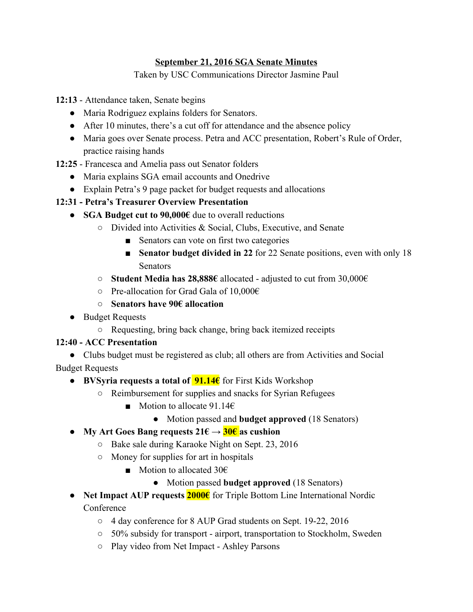#### **September 21, 2016 SGA Senate Minutes**

Taken by USC Communications Director Jasmine Paul

**12:13** Attendance taken, Senate begins

- Maria Rodriguez explains folders for Senators.
- After 10 minutes, there's a cut off for attendance and the absence policy
- Maria goes over Senate process. Petra and ACC presentation, Robert's Rule of Order, practice raising hands
- **12:25** Francesca and Amelia pass out Senator folders
	- Maria explains SGA email accounts and Onedrive
	- Explain Petra's 9 page packet for budget requests and allocations

# **12:31 Petra's Treasurer Overview Presentation**

- **SGA Budget cut to 90,000€** due to overall reductions
	- Divided into Activities & Social, Clubs, Executive, and Senate
		- Senators can vote on first two categories
		- **Senator budget divided in 22** for 22 Senate positions, even with only 18 **Senators**
	- **Student Media has 28,888€** allocated adjusted to cut from 30,000€
	- $\circ$  Pre-allocation for Grad Gala of 10,000€
	- **○ Senators have 90€ allocation**
- Budget Requests
	- Requesting, bring back change, bring back itemized receipts

# **12:40 ACC Presentation**

● Clubs budget must be registered as club; all others are from Activities and Social Budget Requests

- **BVSyria requests a total of 91.14€** for First Kids Workshop
	- Reimbursement for supplies and snacks for Syrian Refugees
		- Motion to allocate 91.14€
			- Motion passed and **budget approved** (18 Senators)
- **● My Art Goes Bang requests 21€ → 30€ as cushion**
	- Bake sale during Karaoke Night on Sept. 23, 2016
	- Money for supplies for art in hospitals
		- Motion to allocated 30€
			- Motion passed **budget approved** (18 Senators)
- **Net Impact AUP requests 2000€** for Triple Bottom Line International Nordic **Conference** 
	- 4 day conference for 8 AUP Grad students on Sept. 1922, 2016
	- 50% subsidy for transport airport, transportation to Stockholm, Sweden
	- Play video from Net Impact Ashley Parsons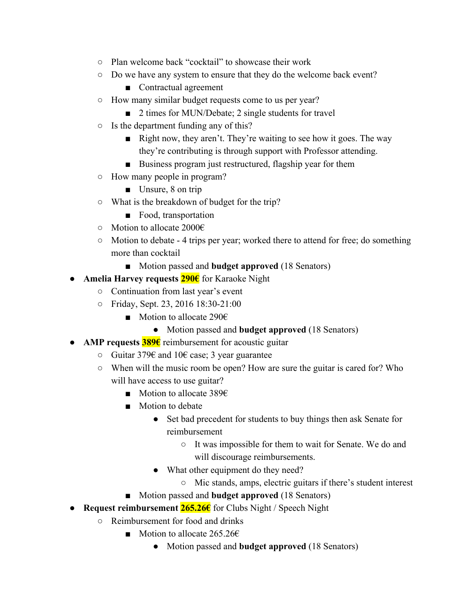- Plan welcome back "cocktail" to showcase their work
- Do we have any system to ensure that they do the welcome back event?
	- Contractual agreement
- How many similar budget requests come to us per year?
	- 2 times for MUN/Debate; 2 single students for travel
- Is the department funding any of this?
	- Right now, they aren't. They're waiting to see how it goes. The way they're contributing is through support with Professor attending.
	- Business program just restructured, flagship year for them
- How many people in program?
	- Unsure, 8 on trip
- What is the breakdown of budget for the trip?
	- Food, transportation
- Motion to allocate 2000€
- Motion to debate 4 trips per year; worked there to attend for free; do something more than cocktail
	- Motion passed and **budget approved** (18 Senators)
- **Amelia Harvey requests 290€** for Karaoke Night
	- Continuation from last year's event
	- Friday, Sept. 23, 2016 18:3021:00
		- Motion to allocate 290€
			- Motion passed and **budget approved** (18 Senators)
- **AMP requests 389€** reimbursement for acoustic guitar
	- Guitar 379€ and 10€ case; 3 year guarantee
	- When will the music room be open? How are sure the guitar is cared for? Who will have access to use guitar?
		- Motion to allocate 389€
		- Motion to debate
			- Set bad precedent for students to buy things then ask Senate for reimbursement
				- It was impossible for them to wait for Senate. We do and will discourage reimbursements.
			- What other equipment do they need?
				- Mic stands, amps, electric guitars if there's student interest
		- Motion passed and **budget approved** (18 Senators)
- **Request reimbursement 265.26€** for Clubs Night / Speech Night
	- Reimbursement for food and drinks
		- Motion to allocate  $265.26€$ 
			- Motion passed and **budget approved** (18 Senators)